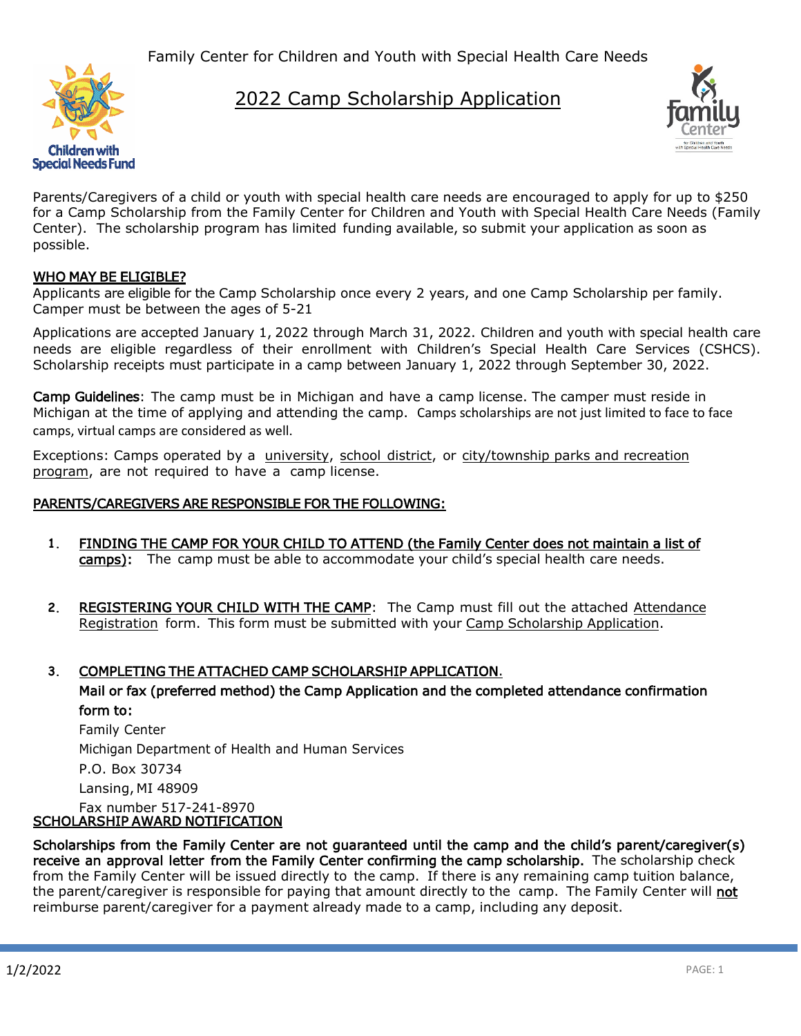Family Center for Children and Youth with Special Health Care Needs



## 2022 Camp Scholarship Application



Parents/Caregivers of a child or youth with special health care needs are encouraged to apply for up to \$250 for a Camp Scholarship from the Family Center for Children and Youth with Special Health Care Needs (Family Center). The scholarship program has limited funding available, so submit your application as soon as possible.

### WHO MAY BE ELIGIBLE?

Applicants are eligible for the Camp Scholarship once every 2 years, and one Camp Scholarship per family. Camper must be between the ages of 5-21

Applications are accepted January 1, 2022 through March 31, 2022. Children and youth with special health care needs are eligible regardless of their enrollment with Children's Special Health Care Services (CSHCS). Scholarship receipts must participate in a camp between January 1, 2022 through September 30, 2022.

Camp Guidelines: The camp must be in Michigan and have a camp license. The camper must reside in Michigan at the time of applying and attending the camp. Camps scholarships are not just limited to face to face camps, virtual camps are considered as well.

Exceptions: Camps operated by a university, school district, or city/township parks and recreation program, are not required to have a camp license.

#### PARENTS/CAREGIVERS ARE RESPONSIBLE FOR THE FOLLOWING:

- **1.** FINDING THE CAMP FOR YOUR CHILD TO ATTEND (the Family Center does not maintain a list of camps): The camp must be able to accommodate your child's special health care needs.
- **2.** REGISTERING YOUR CHILD WITH THE CAMP: The Camp must fill out the attached Attendance Registration form. This form must be submitted with your Camp Scholarship Application.

### **3.** COMPLETING THE ATTACHED CAMP SCHOLARSHIP APPLICATION.

Mail or fax (preferred method) the Camp Application and the completed attendance confirmation form to:

Family Center Michigan Department of Health and Human Services

P.O. Box 30734

Lansing, MI 48909

#### Fax number 517-241-8970 SCHOLARSHIP AWARD NOTIFICATION

Scholarships from the Family Center are not guaranteed until the camp and the child's parent/caregiver(s) receive an approval letter from the Family Center confirming the camp scholarship. The scholarship check from the Family Center will be issued directly to the camp. If there is any remaining camp tuition balance, the parent/caregiver is responsible for paying that amount directly to the camp. The Family Center will not reimburse parent/caregiver for a payment already made to a camp, including any deposit.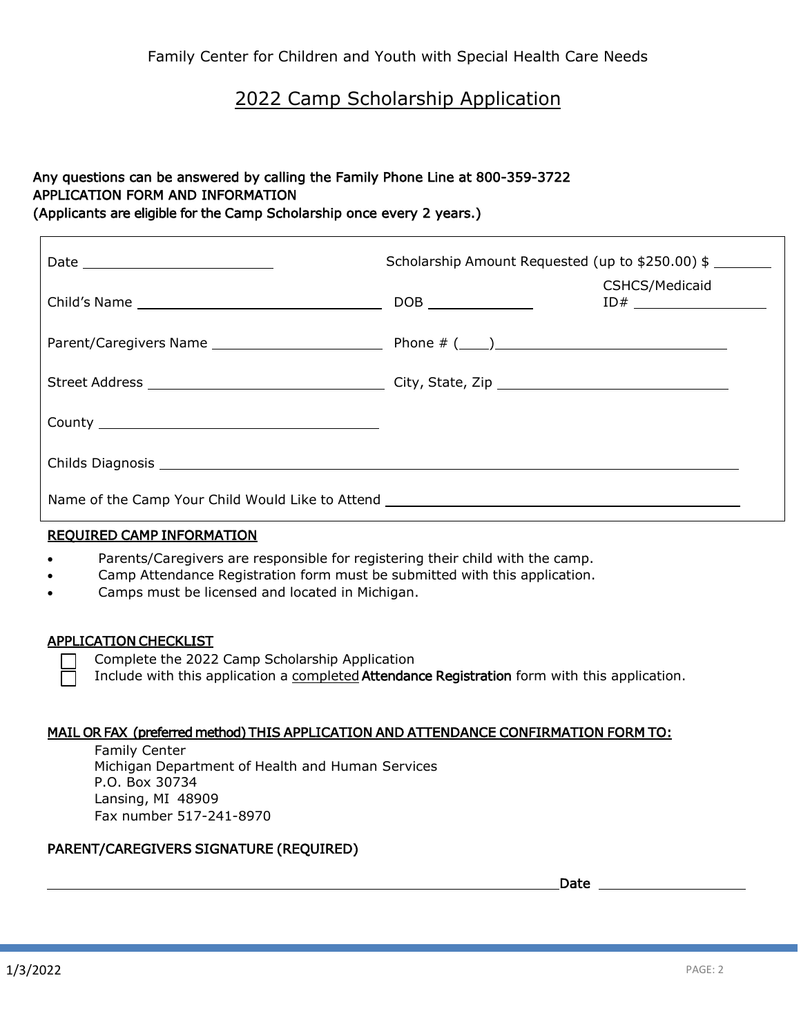## 2022 Camp Scholarship Application

## Any questions can be answered by calling the Family Phone Line at 800-359-3722 APPLICATION FORM AND INFORMATION

(Applicants are eligible for the Camp Scholarship once every 2 years.)

|                                                                                   | Scholarship Amount Requested (up to \$250.00) \$ |                |
|-----------------------------------------------------------------------------------|--------------------------------------------------|----------------|
|                                                                                   |                                                  | CSHCS/Medicaid |
|                                                                                   |                                                  |                |
|                                                                                   |                                                  |                |
|                                                                                   |                                                  |                |
|                                                                                   |                                                  |                |
| Name of the Camp Your Child Would Like to Attend ________________________________ |                                                  |                |

### REQUIRED CAMP INFORMATION

- Parents/Caregivers are responsible for registering their child with the camp.
- Camp Attendance Registration form must be submitted with this application.
- Camps must be licensed and located in Michigan.

#### APPLICATION CHECKLIST

Complete the 2022 Camp Scholarship Application

Include with this application a completed Attendance Registration form with this application.

#### MAIL OR FAX (preferred method) THIS APPLICATION AND ATTENDANCE CONFIRMATION FORM TO:

Family Center Michigan Department of Health and Human Services P.O. Box 30734 Lansing, MI 48909 Fax number 517-241-8970

### PARENT/CAREGIVERS SIGNATURE (REQUIRED)

Date

 $\Gamma$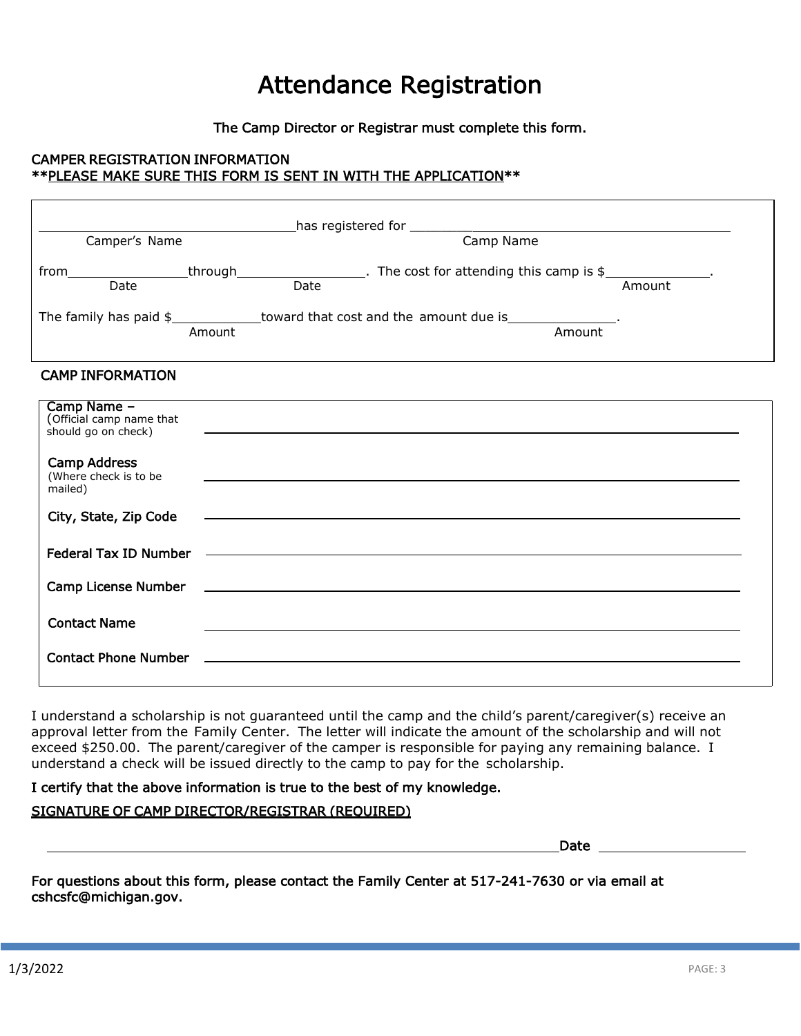# Attendance Registration

The Camp Director or Registrar must complete this form.

### CAMPER REGISTRATION INFORMATION \*\*PLEASE MAKE SURE THIS FORM IS SENT IN WITH THE APPLICATION\*\*

| Camper's Name                                                  |                                                                                                                                                                                                                                      |  |
|----------------------------------------------------------------|--------------------------------------------------------------------------------------------------------------------------------------------------------------------------------------------------------------------------------------|--|
| $\overline{Date}$                                              | from https://www.mail.com/https://www.mail.com/https://www.mail.com/https://www.mail.com/https://www.mail.com/<br>Date https://www.mail.com/https://www.mail.com/https://www.mail.com/https://www.mail.com/https://www.mail.com/<br> |  |
|                                                                | The family has paid \$______________toward that cost and the amount due is________________.<br>Amount<br>Amount                                                                                                                      |  |
| <b>CAMP INFORMATION</b>                                        |                                                                                                                                                                                                                                      |  |
| Camp Name -<br>(Official camp name that<br>should go on check) | <u> 1999 - Johann John Stoff, deutscher Stoffen und der Stoffen und der Stoffen und der Stoffen und der Stoffen un</u>                                                                                                               |  |
| <b>Camp Address</b><br>(Where check is to be<br>mailed)        |                                                                                                                                                                                                                                      |  |
| City, State, Zip Code                                          |                                                                                                                                                                                                                                      |  |
|                                                                |                                                                                                                                                                                                                                      |  |
| Camp License Number                                            | <u> 1989 - Johann Stoff, amerikansk politiker (d. 1989)</u>                                                                                                                                                                          |  |
| <b>Contact Name</b>                                            |                                                                                                                                                                                                                                      |  |
| <b>Contact Phone Number</b>                                    | <u> 1989 - John Stein, amerikansk politiker (* 1989)</u>                                                                                                                                                                             |  |

I understand a scholarship is not guaranteed until the camp and the child's parent/caregiver(s) receive an approval letter from the Family Center. The letter will indicate the amount of the scholarship and will not exceed \$250.00. The parent/caregiver of the camper is responsible for paying any remaining balance. I understand a check will be issued directly to the camp to pay for the scholarship.

### I certify that the above information is true to the best of my knowledge.

#### SIGNATURE OF CAMP DIRECTOR/REGISTRAR (REQUIRED)

Date and the contract of the contract of the contract of the contract of the contract of the contract of the contract of the contract of the contract of the contract of the contract of the contract of the contract of the c

For questions about this form, please contact the Family Center at 517-241-7630 or via email at cshcsfc@michigan.gov.

Г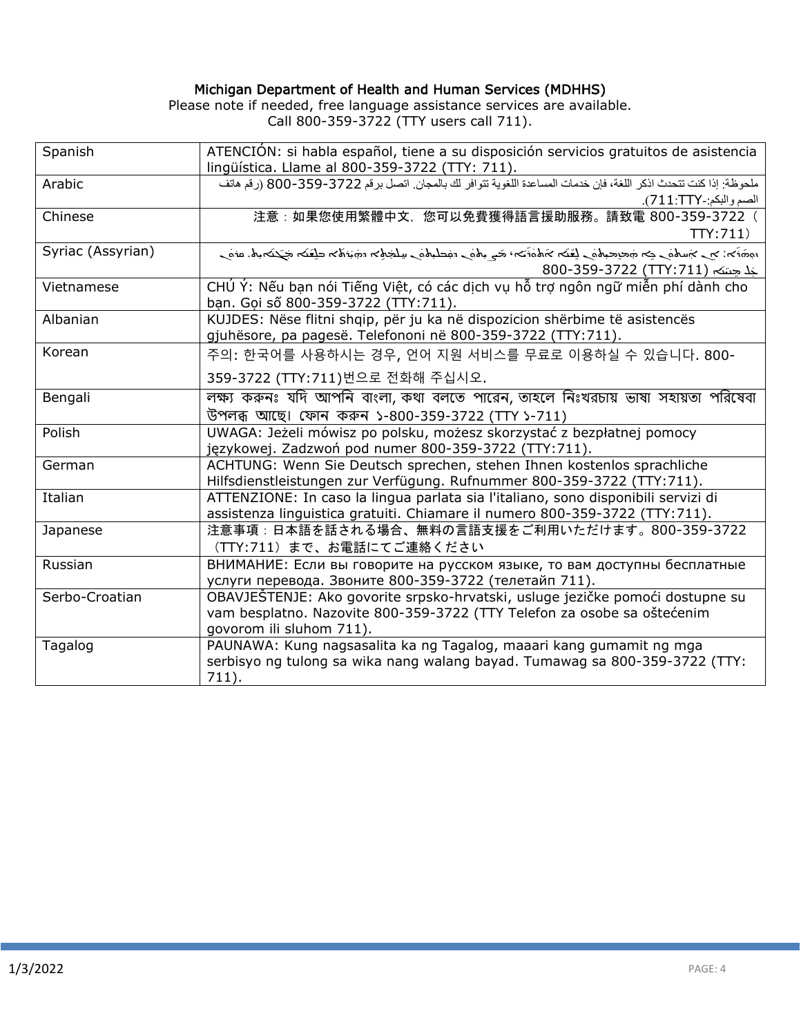#### Michigan Department of Health and Human Services (MDHHS)

Please note if needed, free language assistance services are available. Call 800-359-3722 (TTY users call 711).

| Spanish           | ATENCIÓN: si habla español, tiene a su disposición servicios gratuitos de asistencia<br>lingüística. Llame al 800-359-3722 (TTY: 711). |
|-------------------|----------------------------------------------------------------------------------------------------------------------------------------|
| Arabic            | ملحوظة: إذا كنت تتحدث اذكر اللغة، فإن خدمات المساعدة اللغوية تتوافر لك بالمجان. اتصل برقم 3722-359-800 (رقم هاتف                       |
|                   | الصم والبكم:-711:TTY).                                                                                                                 |
| Chinese           | 注意:如果您使用繁體中文,您可以免費獲得語言援助服務。請致電 800-359-3722 (                                                                                          |
|                   | TTY:711                                                                                                                                |
| Syriac (Assyrian) | رەنە .كېمنىڭ مىققى مەنبەتە مەنبەتلەرغانلىق مەنبەت ئىگە ئەمتەنمەت تەققىلىم ئەسلەپ بەرغان بىر : مەنبەت                                   |
|                   | جَل حِنتَه (TTY:711) 800-359-3722                                                                                                      |
| Vietnamese        | CHÚ Ý: Nếu bạn nói Tiếng Việt, có các dịch vụ hỗ trợ ngôn ngữ miễn phí dành cho                                                        |
|                   | bạn. Gọi số 800-359-3722 (TTY:711).                                                                                                    |
| Albanian          | KUJDES: Nëse flitni shqip, për ju ka në dispozicion shërbime të asistencës                                                             |
|                   | gjuhësore, pa pagesë. Telefononi në 800-359-3722 (TTY:711).                                                                            |
| Korean            | 주의: 한국어를 사용하시는 경우, 언어 지원 서비스를 무료로 이용하실 수 있습니다. 800-                                                                                    |
|                   | 359-3722 (TTY:711)번으로 전화해 주십시오.                                                                                                        |
| Bengali           | লক্ষ্য করুনঃ যদি আপনি বাংলা, কথা বলতে পারেন, তাহলে নিঃখরচায় ভাষা সহায়তা পরিষেবা                                                      |
|                   | উপলব্ধ আছে। ফোন কৰুন ১-800-359-3722 (TTY ১-711)                                                                                        |
| Polish            | UWAGA: Jeżeli mówisz po polsku, możesz skorzystać z bezpłatnej pomocy                                                                  |
|                   | językowej. Zadzwoń pod numer 800-359-3722 (TTY:711).                                                                                   |
| German            | ACHTUNG: Wenn Sie Deutsch sprechen, stehen Ihnen kostenlos sprachliche                                                                 |
|                   | Hilfsdienstleistungen zur Verfügung. Rufnummer 800-359-3722 (TTY:711).                                                                 |
| Italian           | ATTENZIONE: In caso la lingua parlata sia l'italiano, sono disponibili servizi di                                                      |
|                   | assistenza linguistica gratuiti. Chiamare il numero 800-359-3722 (TTY:711).                                                            |
| Japanese          | 注意事項:日本語を話される場合、無料の言語支援をご利用いただけます。800-359-3722                                                                                         |
|                   | (TTY:711) まで、お電話にてご連絡ください                                                                                                              |
| Russian           | ВНИМАНИЕ: Если вы говорите на русском языке, то вам доступны бесплатные                                                                |
|                   | услуги перевода. Звоните 800-359-3722 (телетайп 711).                                                                                  |
| Serbo-Croatian    | OBAVJEŠTENJE: Ako govorite srpsko-hrvatski, usluge jezičke pomoći dostupne su                                                          |
|                   | vam besplatno. Nazovite 800-359-3722 (TTY Telefon za osobe sa oštećenim                                                                |
|                   | govorom ili sluhom 711).                                                                                                               |
| Tagalog           | PAUNAWA: Kung nagsasalita ka ng Tagalog, maaari kang gumamit ng mga                                                                    |
|                   | serbisyo ng tulong sa wika nang walang bayad. Tumawag sa 800-359-3722 (TTY:                                                            |
|                   | $711$ ).                                                                                                                               |